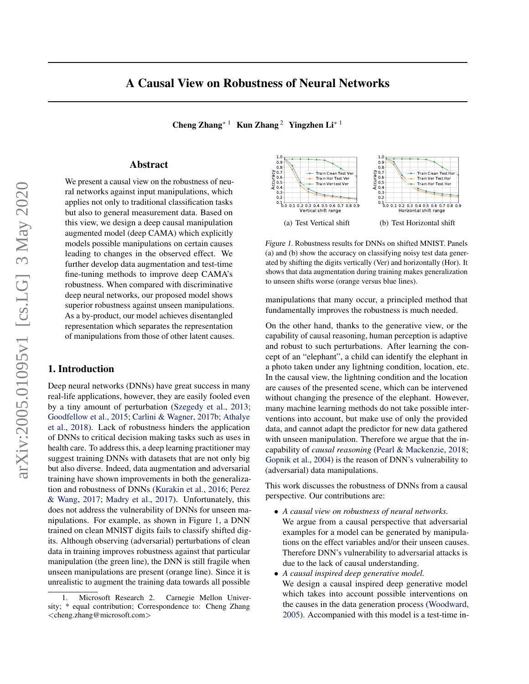Cheng Zhang<sup>∗ 1</sup> Kun Zhang<sup>2</sup> Yingzhen Li<sup>∗ 1</sup>

## Abstract

<span id="page-0-0"></span>We present a causal view on the robustness of neural networks against input manipulations, which applies not only to traditional classification tasks but also to general measurement data. Based on this view, we design a deep causal manipulation augmented model (deep CAMA) which explicitly models possible manipulations on certain causes leading to changes in the observed effect. We further develop data augmentation and test-time fine-tuning methods to improve deep CAMA's robustness. When compared with discriminative deep neural networks, our proposed model shows superior robustness against unseen manipulations. As a by-product, our model achieves disentangled representation which separates the representation of manipulations from those of other latent causes.

# 1. Introduction

Deep neural networks (DNNs) have great success in many real-life applications, however, they are easily fooled even by a tiny amount of perturbation [\(Szegedy et al.,](#page-9-0) [2013;](#page-9-0) [Goodfellow et al.,](#page-8-0) [2015;](#page-8-0) [Carlini & Wagner,](#page-8-0) [2017b;](#page-8-0) [Athalye](#page-8-0) [et al.,](#page-8-0) [2018\)](#page-8-0). Lack of robustness hinders the application of DNNs to critical decision making tasks such as uses in health care. To address this, a deep learning practitioner may suggest training DNNs with datasets that are not only big but also diverse. Indeed, data augmentation and adversarial training have shown improvements in both the generalization and robustness of DNNs [\(Kurakin et al.,](#page-8-0) [2016;](#page-8-0) [Perez](#page-9-0) [& Wang,](#page-9-0) [2017;](#page-9-0) [Madry et al.,](#page-9-0) [2017\)](#page-9-0). Unfortunately, this does not address the vulnerability of DNNs for unseen manipulations. For example, as shown in Figure 1, a DNN trained on clean MNIST digits fails to classify shifted digits. Although observing (adversarial) perturbations of clean data in training improves robustness against that particular manipulation (the green line), the DNN is still fragile when unseen manipulations are present (orange line). Since it is unrealistic to augment the training data towards all possible



Figure 1. Robustness results for DNNs on shifted MNIST. Panels (a) and (b) show the accuracy on classifying noisy test data generated by shifting the digits vertically (Ver) and horizontally (Hor). It shows that data augmentation during training makes generalization to unseen shifts worse (orange versus blue lines).

manipulations that many occur, a principled method that fundamentally improves the robustness is much needed.

On the other hand, thanks to the generative view, or the capability of causal reasoning, human perception is adaptive and robust to such perturbations. After learning the concept of an "elephant", a child can identify the elephant in a photo taken under any lightning condition, location, etc. In the causal view, the lightning condition and the location are causes of the presented scene, which can be intervened without changing the presence of the elephant. However, many machine learning methods do not take possible interventions into account, but make use of only the provided data, and cannot adapt the predictor for new data gathered with unseen manipulation. Therefore we argue that the incapability of *causal reasoning* [\(Pearl & Mackenzie,](#page-9-0) [2018;](#page-9-0) [Gopnik et al.,](#page-8-0) [2004\)](#page-8-0) is the reason of DNN's vulnerability to (adversarial) data manipulations.

This work discusses the robustness of DNNs from a causal perspective. Our contributions are:

- *A causal view on robustness of neural networks.*
- We argue from a causal perspective that adversarial examples for a model can be generated by manipulations on the effect variables and/or their unseen causes. Therefore DNN's vulnerability to adversarial attacks is due to the lack of causal understanding.
- *A causal inspired deep generative model.* We design a causal inspired deep generative model which takes into account possible interventions on the causes in the data generation process [\(Woodward,](#page-9-0) [2005\)](#page-9-0). Accompanied with this model is a test-time in-

<sup>1.</sup> Microsoft Research 2. Carnegie Mellon University; \* equal contribution; Correspondence to: Cheng Zhang <cheng.zhang@microsoft.com>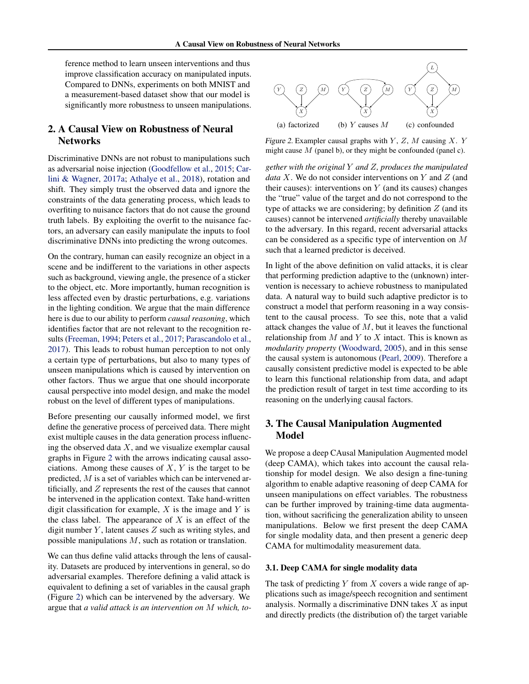<span id="page-1-0"></span>ference method to learn unseen interventions and thus improve classification accuracy on manipulated inputs. Compared to DNNs, experiments on both MNIST and a measurement-based dataset show that our model is significantly more robustness to unseen manipulations.

# 2. A Causal View on Robustness of Neural **Networks**

Discriminative DNNs are not robust to manipulations such as adversarial noise injection [\(Goodfellow et al.,](#page-8-0) [2015;](#page-8-0) [Car](#page-8-0)[lini & Wagner,](#page-8-0) [2017a;](#page-8-0) [Athalye et al.,](#page-8-0) [2018\)](#page-8-0), rotation and shift. They simply trust the observed data and ignore the constraints of the data generating process, which leads to overfiting to nuisance factors that do not cause the ground truth labels. By exploiting the overfit to the nuisance factors, an adversary can easily manipulate the inputs to fool discriminative DNNs into predicting the wrong outcomes.

On the contrary, human can easily recognize an object in a scene and be indifferent to the variations in other aspects such as background, viewing angle, the presence of a sticker to the object, etc. More importantly, human recognition is less affected even by drastic perturbations, e.g. variations in the lighting condition. We argue that the main difference here is due to our ability to perform *causal reasoning*, which identifies factor that are not relevant to the recognition results [\(Freeman,](#page-8-0) [1994;](#page-8-0) [Peters et al.,](#page-9-0) [2017;](#page-9-0) [Parascandolo et al.,](#page-9-0) [2017\)](#page-9-0). This leads to robust human perception to not only a certain type of perturbations, but also to many types of unseen manipulations which is caused by intervention on other factors. Thus we argue that one should incorporate causal perspective into model design, and make the model robust on the level of different types of manipulations.

Before presenting our causally informed model, we first define the generative process of perceived data. There might exist multiple causes in the data generation process influencing the observed data  $X$ , and we visualize exemplar causal graphs in Figure 2 with the arrows indicating causal associations. Among these causes of  $X, Y$  is the target to be predicted, M is a set of variables which can be intervened artificially, and Z represents the rest of the causes that cannot be intervened in the application context. Take hand-written digit classification for example,  $X$  is the image and  $Y$  is the class label. The appearance of  $X$  is an effect of the digit number  $Y$ , latent causes  $Z$  such as writing styles, and possible manipulations M, such as rotation or translation.

We can thus define valid attacks through the lens of causality. Datasets are produced by interventions in general, so do adversarial examples. Therefore defining a valid attack is equivalent to defining a set of variables in the causal graph (Figure 2) which can be intervened by the adversary. We argue that *a valid attack is an intervention on* M *which, to-*



Figure 2. Exampler causal graphs with  $Y$ ,  $Z$ ,  $M$  causing  $X$ .  $Y$ might cause  $M$  (panel b), or they might be confounded (panel c).

*gether with the original* Y *and* Z*, produces the manipulated data* X. We do not consider interventions on Y and Z (and their causes): interventions on  $Y$  (and its causes) changes the "true" value of the target and do not correspond to the type of attacks we are considering; by definition  $Z$  (and its causes) cannot be intervened *artificially* thereby unavailable to the adversary. In this regard, recent adversarial attacks can be considered as a specific type of intervention on M such that a learned predictor is deceived.

In light of the above definition on valid attacks, it is clear that performing prediction adaptive to the (unknown) intervention is necessary to achieve robustness to manipulated data. A natural way to build such adaptive predictor is to construct a model that perform reasoning in a way consistent to the causal process. To see this, note that a valid attack changes the value of  $M$ , but it leaves the functional relationship from  $M$  and  $Y$  to  $X$  intact. This is known as *modularity property* [\(Woodward,](#page-9-0) [2005\)](#page-9-0), and in this sense the causal system is autonomous [\(Pearl,](#page-9-0) [2009\)](#page-9-0). Therefore a causally consistent predictive model is expected to be able to learn this functional relationship from data, and adapt the prediction result of target in test time according to its reasoning on the underlying causal factors.

# 3. The Causal Manipulation Augmented Model

We propose a deep CAusal Manipulation Augmented model (deep CAMA), which takes into account the causal relationship for model design. We also design a fine-tuning algorithm to enable adaptive reasoning of deep CAMA for unseen manipulations on effect variables. The robustness can be further improved by training-time data augmentation, without sacrificing the generalization ability to unseen manipulations. Below we first present the deep CAMA for single modality data, and then present a generic deep CAMA for multimodality measurement data.

#### 3.1. Deep CAMA for single modality data

The task of predicting  $Y$  from  $X$  covers a wide range of applications such as image/speech recognition and sentiment analysis. Normally a discriminative DNN takes  $X$  as input and directly predicts (the distribution of) the target variable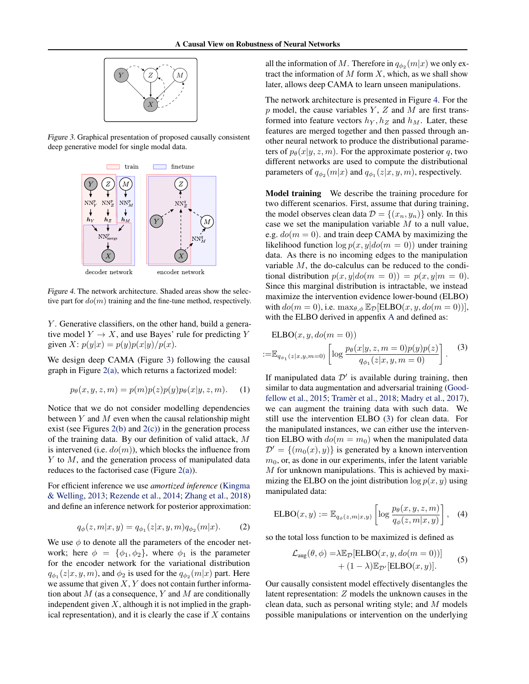<span id="page-2-0"></span>

Figure 3. Graphical presentation of proposed causally consistent deep generative model for single modal data.



Figure 4. The network architecture. Shaded areas show the selective part for  $d\rho(m)$  training and the fine-tune method, respectively.

 $Y$ . Generative classifiers, on the other hand, build a generative model  $Y \to X$ , and use Bayes' rule for predicting Y given X:  $p(y|x) = p(y)p(x|y)/p(x)$ .

We design deep CAMA (Figure 3) following the causal graph in Figure [2\(a\),](#page-1-0) which returns a factorized model:

$$
p_{\theta}(x, y, z, m) = p(m)p(z)p(y)p_{\theta}(x|y, z, m). \quad (1)
$$

Notice that we do not consider modelling dependencies between  $Y$  and  $M$  even when the causal relationship might exist (see Figures  $2(b)$  and  $2(c)$ ) in the generation process of the training data. By our definition of valid attack, M is intervened (i.e.  $do(m)$ ), which blocks the influence from Y to M, and the generation process of manipulated data reduces to the factorised case (Figure  $2(a)$ ).

For efficient inference we use *amortized inference* [\(Kingma](#page-8-0) [& Welling,](#page-8-0) [2013;](#page-8-0) [Rezende et al.,](#page-9-0) [2014;](#page-9-0) [Zhang et al.,](#page-9-0) [2018\)](#page-9-0) and define an inference network for posterior approximation:

$$
q_{\phi}(z, m|x, y) = q_{\phi_1}(z|x, y, m)q_{\phi_2}(m|x). \tag{2}
$$

We use  $\phi$  to denote all the parameters of the encoder network; here  $\phi = {\phi_1, \phi_2}$ , where  $\phi_1$  is the parameter for the encoder network for the variational distribution  $q_{\phi_1}(z|x,y,m)$ , and  $\phi_2$  is used for the  $q_{\phi_2}(m|x)$  part. Here we assume that given  $X, Y$  does not contain further information about  $M$  (as a consequence,  $Y$  and  $M$  are conditionally independent given  $X$ , although it is not implied in the graphical representation), and it is clearly the case if  $X$  contains

all the information of M. Therefore in  $q_{\phi_2}(m|x)$  we only extract the information of  $M$  form  $X$ , which, as we shall show later, allows deep CAMA to learn unseen manipulations.

The network architecture is presented in Figure 4. For the  $p$  model, the cause variables  $Y$ ,  $Z$  and  $M$  are first transformed into feature vectors  $h<sub>Y</sub>$ ,  $h<sub>Z</sub>$  and  $h<sub>M</sub>$ . Later, these features are merged together and then passed through another neural network to produce the distributional parameters of  $p_{\theta}(x|y, z, m)$ . For the approximate posterior q, two different networks are used to compute the distributional parameters of  $q_{\phi_2}(m|x)$  and  $q_{\phi_1}(z|x,y,m)$ , respectively.

Model training We describe the training procedure for two different scenarios. First, assume that during training, the model observes clean data  $\mathcal{D} = \{(x_n, y_n)\}\$ only. In this case we set the manipulation variable  $M$  to a null value, e.g.  $do(m = 0)$ . and train deep CAMA by maximizing the likelihood function  $\log p(x, y|do(m = 0))$  under training data. As there is no incoming edges to the manipulation variable M, the do-calculus can be reduced to the conditional distribution  $p(x, y|do(m = 0)) = p(x, y|m = 0)$ . Since this marginal distribution is intractable, we instead maximize the intervention evidence lower-bound (ELBO) with  $do(m = 0)$ , i.e.  $\max_{\theta, \phi} \mathbb{E}_{\mathcal{D}}[\text{ELBO}(x, y, do(m = 0))],$ with the ELBO derived in appenfix [A](#page-10-0) and defined as:

$$
\text{ELBO}(x, y, do(m = 0))
$$
  
:=  $\mathbb{E}_{q_{\phi_1}(z|x,y,m=0)} \left[ \log \frac{p_{\theta}(x|y,z,m=0)p(y)p(z)}{q_{\phi_1}(z|x,y,m=0)} \right].$  (3)

If manipulated data  $\mathcal{D}'$  is available during training, then similar to data augmentation and adversarial training [\(Good](#page-8-0)[fellow et al.,](#page-8-0) [2015;](#page-8-0) Tramèr et al., [2018;](#page-9-0) [Madry et al.,](#page-9-0) [2017\)](#page-9-0), we can augment the training data with such data. We still use the intervention ELBO (3) for clean data. For the manipulated instances, we can either use the intervention ELBO with  $d\rho(m = m_0)$  when the manipulated data  $\mathcal{D}' = \{(m_0(x), y)\}\$ is generated by a known intervention  $m<sub>0</sub>$ , or, as done in our experiments, infer the latent variable M for unknown manipulations. This is achieved by maximizing the ELBO on the joint distribution  $\log p(x, y)$  using manipulated data:

$$
ELBO(x, y) := \mathbb{E}_{q_{\phi}(z, m|x, y)} \left[ \log \frac{p_{\theta}(x, y, z, m)}{q_{\phi}(z, m|x, y)} \right], \quad (4)
$$

so the total loss function to be maximized is defined as

$$
\mathcal{L}_{\text{aug}}(\theta, \phi) = \lambda \mathbb{E}_{\mathcal{D}}[\text{ELBO}(x, y, do(m = 0))]
$$
  
+  $(1 - \lambda) \mathbb{E}_{\mathcal{D}'}[\text{ELBO}(x, y)].$  (5)

Our causally consistent model effectively disentangles the latent representation: Z models the unknown causes in the clean data, such as personal writing style; and M models possible manipulations or intervention on the underlying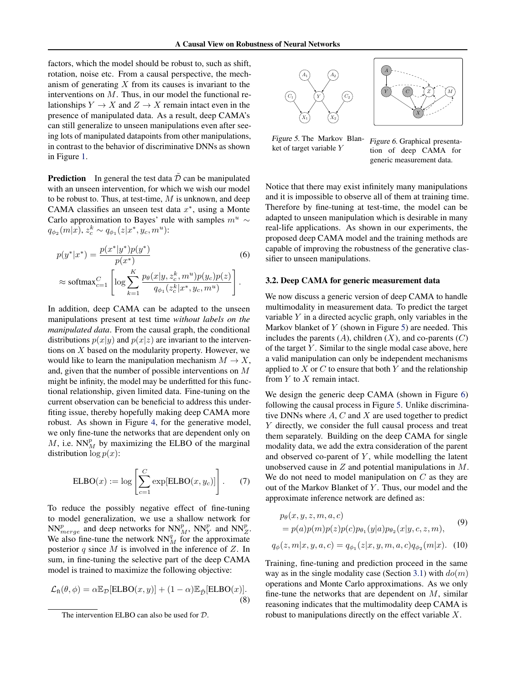<span id="page-3-0"></span>factors, which the model should be robust to, such as shift, rotation, noise etc. From a causal perspective, the mechanism of generating  $X$  from its causes is invariant to the interventions on  $M$ . Thus, in our model the functional relationships  $Y \to X$  and  $Z \to X$  remain intact even in the presence of manipulated data. As a result, deep CAMA's can still generalize to unseen manipulations even after seeing lots of manipulated datapoints from other manipulations, in contrast to the behavior of discriminative DNNs as shown in Figure [1.](#page-0-0)

**Prediction** In general the test data  $\tilde{\mathcal{D}}$  can be manipulated with an unseen intervention, for which we wish our model to be robust to. Thus, at test-time,  $M$  is unknown, and deep CAMA classifies an unseen test data  $x^*$ , using a Monte Carlo approximation to Bayes' rule with samples  $m^u$  ∼  $q_{\phi_2}(m|x), z_c^k \sim q_{\phi_1}(z|x^*, y_c, m^u)$ :

$$
p(y^*|x^*) = \frac{p(x^*|y^*)p(y^*)}{p(x^*)}
$$
(6)  
\n
$$
\approx \text{softmax}_{c=1}^C \left[ \log \sum_{k=1}^K \frac{p_\theta(x|y, z_c^k, m^u)p(y_c)p(z)}{q_{\phi_1}(z_c^k|x^*, y_c, m^u)} \right].
$$

In addition, deep CAMA can be adapted to the unseen manipulations present at test time *without labels on the manipulated data*. From the causal graph, the conditional distributions  $p(x|y)$  and  $p(x|z)$  are invariant to the interventions on  $X$  based on the modularity property. However, we would like to learn the manipulation mechanism  $M \to X$ , and, given that the number of possible interventions on M might be infinity, the model may be underfitted for this functional relationship, given limited data. Fine-tuning on the current observation can be beneficial to address this underfiting issue, thereby hopefully making deep CAMA more robust. As shown in Figure [4,](#page-2-0) for the generative model, we only fine-tune the networks that are dependent only on  $M$ , i.e.  $NN_M^p$  by maximizing the ELBO of the marginal distribution  $\log p(x)$ :

$$
ELBO(x) := \log \left[ \sum_{c=1}^{C} \exp[ELBO(x, y_c)] \right].
$$
 (7)

To reduce the possibly negative effect of fine-tuning to model generalization, we use a shallow network for  $NN_{merge}^p$  and deep networks for  $NN_{M}^p$ ,  $NN_{Y}^p$  and  $NN_{Z}^p$ . We also fine-tune the network  $NN_M^q$  for the approximate posterior q since M is involved in the inference of Z. In sum, in fine-tuning the selective part of the deep CAMA model is trained to maximize the following objective:

$$
\mathcal{L}_{\text{ft}}(\theta,\phi) = \alpha \mathbb{E}_{\mathcal{D}}[\text{ELBO}(x,y)] + (1-\alpha)\mathbb{E}_{\tilde{\mathcal{D}}}[\text{ELBO}(x)].
$$
\n(8)





Figure 5. The Markov Blanket of target variable Y

Figure 6. Graphical presentation of deep CAMA for generic measurement data.

Notice that there may exist infinitely many manipulations and it is impossible to observe all of them at training time. Therefore by fine-tuning at test-time, the model can be adapted to unseen manipulation which is desirable in many real-life applications. As shown in our experiments, the proposed deep CAMA model and the training methods are capable of improving the robustness of the generative classifier to unseen manipulations.

#### 3.2. Deep CAMA for generic measurement data

We now discuss a generic version of deep CAMA to handle multimodality in measurement data. To predict the target variable  $Y$  in a directed acyclic graph, only variables in the Markov blanket of  $Y$  (shown in Figure 5) are needed. This includes the parents  $(A)$ , children  $(X)$ , and co-parents  $(C)$ of the target  $Y$ . Similar to the single modal case above, here a valid manipulation can only be independent mechanisms applied to  $X$  or  $C$  to ensure that both  $Y$  and the relationship from  $Y$  to  $X$  remain intact.

We design the generic deep CAMA (shown in Figure 6) following the causal process in Figure 5. Unlike discriminative DNNs where  $A, C$  and  $X$  are used together to predict Y directly, we consider the full causal process and treat them separately. Building on the deep CAMA for single modality data, we add the extra consideration of the parent and observed co-parent of  $Y$ , while modelling the latent unobserved cause in  $Z$  and potential manipulations in  $M$ . We do not need to model manipulation on  $C$  as they are out of the Markov Blanket of Y. Thus, our model and the approximate inference network are defined as:

$$
p_{\theta}(x, y, z, m, a, c)
$$
  
=  $p(a)p(m)p(z)p(c)p_{\theta_1}(y|a)p_{\theta_2}(x|y, c, z, m),$  (9)

$$
q_{\phi}(z,m|x,y,a,c) = q_{\phi_1}(z|x,y,m,a,c)q_{\phi_2}(m|x). \quad (10)
$$

Training, fine-tuning and prediction proceed in the same way as in the single modality case (Section [3.1\)](#page-1-0) with  $do(m)$ operations and Monte Carlo approximations. As we only fine-tune the networks that are dependent on  $M$ , similar reasoning indicates that the multimodality deep CAMA is robust to manipulations directly on the effect variable X.

The intervention ELBO can also be used for D.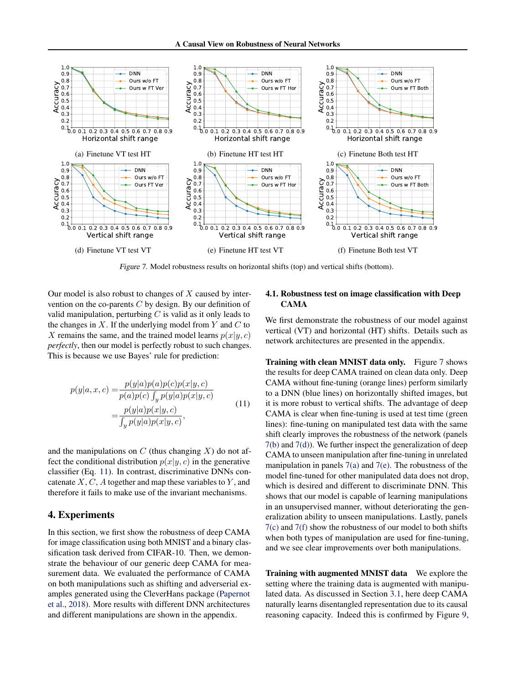

Figure 7. Model robustness results on horizontal shifts (top) and vertical shifts (bottom).

Our model is also robust to changes of  $X$  caused by intervention on the co-parents  $C$  by design. By our definition of valid manipulation, perturbing  $C$  is valid as it only leads to the changes in  $X$ . If the underlying model from Y and  $C$  to X remains the same, and the trained model learns  $p(x|y, c)$ *perfectly*, then our model is perfectly robust to such changes. This is because we use Bayes' rule for prediction:

$$
p(y|a, x, c) = \frac{p(y|a)p(a)p(c)p(x|y, c)}{p(a)p(c)\int_y p(y|a)p(x|y, c)}
$$
  

$$
= \frac{p(y|a)p(x|y, c)}{\int_y p(y|a)p(x|y, c)},
$$
(11)

and the manipulations on  $C$  (thus changing  $X$ ) do not affect the conditional distribution  $p(x|y, c)$  in the generative classifier (Eq. 11). In contrast, discriminative DNNs concatenate  $X, C, A$  together and map these variables to Y, and therefore it fails to make use of the invariant mechanisms.

# 4. Experiments

In this section, we first show the robustness of deep CAMA for image classification using both MNIST and a binary classification task derived from CIFAR-10. Then, we demonstrate the behaviour of our generic deep CAMA for measurement data. We evaluated the performance of CAMA on both manipulations such as shifting and adverserial examples generated using the CleverHans package [\(Papernot](#page-9-0) [et al.,](#page-9-0) [2018\)](#page-9-0). More results with different DNN architectures and different manipulations are shown in the appendix.

### 4.1. Robustness test on image classification with Deep CAMA

We first demonstrate the robustness of our model against vertical (VT) and horizontal (HT) shifts. Details such as network architectures are presented in the appendix.

Training with clean MNIST data only. Figure 7 shows the results for deep CAMA trained on clean data only. Deep CAMA without fine-tuning (orange lines) perform similarly to a DNN (blue lines) on horizontally shifted images, but it is more robust to vertical shifts. The advantage of deep CAMA is clear when fine-tuning is used at test time (green lines): fine-tuning on manipulated test data with the same shift clearly improves the robustness of the network (panels 7(b) and 7(d)). We further inspect the generalization of deep CAMA to unseen manipulation after fine-tuning in unrelated manipulation in panels  $7(a)$  and  $7(e)$ . The robustness of the model fine-tuned for other manipulated data does not drop, which is desired and different to discriminate DNN. This shows that our model is capable of learning manipulations in an unsupervised manner, without deteriorating the generalization ability to unseen manipulations. Lastly, panels 7(c) and 7(f) show the robustness of our model to both shifts when both types of manipulation are used for fine-tuning, and we see clear improvements over both manipulations.

Training with augmented MNIST data We explore the setting where the training data is augmented with manipulated data. As discussed in Section [3.1,](#page-1-0) here deep CAMA naturally learns disentangled representation due to its causal reasoning capacity. Indeed this is confirmed by Figure [9,](#page-5-0)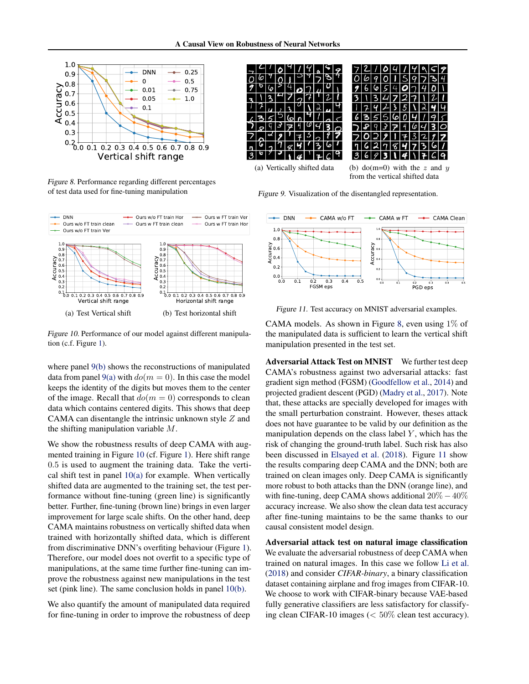<span id="page-5-0"></span>

Figure 8. Performance regarding different percentages of test data used for fine-tuning manipulation



Figure 10. Performance of our model against different manipulation (c.f. Figure [1\)](#page-0-0).

where panel 9(b) shows the reconstructions of manipulated data from panel 9(a) with  $d\rho(m=0)$ . In this case the model keeps the identity of the digits but moves them to the center of the image. Recall that  $do(m = 0)$  corresponds to clean data which contains centered digits. This shows that deep CAMA can disentangle the intrinsic unknown style  $Z$  and the shifting manipulation variable  $M$ .

We show the robustness results of deep CAMA with augmented training in Figure 10 (cf. Figure [1\)](#page-0-0). Here shift range 0.5 is used to augment the training data. Take the vertical shift test in panel  $10(a)$  for example. When vertically shifted data are augmented to the training set, the test performance without fine-tuning (green line) is significantly better. Further, fine-tuning (brown line) brings in even larger improvement for large scale shifts. On the other hand, deep CAMA maintains robustness on vertically shifted data when trained with horizontally shifted data, which is different from discriminative DNN's overfiting behaviour (Figure [1\)](#page-0-0). Therefore, our model does not overfit to a specific type of manipulations, at the same time further fine-tuning can improve the robustness against new manipulations in the test set (pink line). The same conclusion holds in panel 10(b).

We also quantify the amount of manipulated data required for fine-tuning in order to improve the robustness of deep

 $721091$  $\bullet$ Ч  $49$  $\square$  $\alpha$ 6  $\overline{1}$ Э  $\overline{\mathsf{S}}$  $\mathbf{o}$ 06  $90$ O  $\overline{z}$  $\mathbf{I}$ 9  $2|4|$  $O(7)$  $\mathfrak{o}_{\vert \setminus \vert}$  $6654074$ 6  $\overline{\boldsymbol{z}}$  $\overline{7}$  $21$  $727$  $\mathbf{3}$  $\overline{\mathcal{E}}$  $\mathcal{F}$ 134  $\sqrt{2}$  $\lambda$  $174235$  $\overline{\mathbf{3}}$  $\lambda$  2 प 5  $\overline{\mathbf{v}}$ 6  $355$  $6041$ 5 (ဝ  $\overline{u}$  $\sqrt{q}$  3  $\overline{z}$ 4  $993$  $\overline{z}$  $\frac{4}{3}$ 6  $\circ$ ⊻∣ য়া  $3\overline{2}$ 7  $O<sub>2</sub>$  $\overline{\phantom{a}}$ フ  $7<sub>8</sub>$ ч  $\mathbf{r}$ 61  $\mathbf{r}$ 2  $\overline{7}$ 8  $\overline{\mathbf{z}}$ G 6 9 U  $\mathcal{L}$  $36931$ 4  $\sqrt{7}$  $G|q$ (a) Vertically shifted data (b) do(m=0) with the z and y

Figure 9. Visualization of the disentangled representation.



from the vertical shifted data

Figure 11. Test accuracy on MNIST adversarial examples.

CAMA models. As shown in Figure 8, even using  $1\%$  of the manipulated data is sufficient to learn the vertical shift manipulation presented in the test set.

Adversarial Attack Test on MNIST We further test deep CAMA's robustness against two adversarial attacks: fast gradient sign method (FGSM) [\(Goodfellow et al.,](#page-8-0) [2014\)](#page-8-0) and projected gradient descent (PGD) [\(Madry et al.,](#page-9-0) [2017\)](#page-9-0). Note that, these attacks are specially developed for images with the small perturbation constraint. However, theses attack does not have guarantee to be valid by our definition as the manipulation depends on the class label  $Y$ , which has the risk of changing the ground-truth label. Such risk has also been discussed in [Elsayed et al.](#page-8-0) [\(2018\)](#page-8-0). Figure 11 show the results comparing deep CAMA and the DNN; both are trained on clean images only. Deep CAMA is significantly more robust to both attacks than the DNN (orange line), and with fine-tuning, deep CAMA shows additional  $20\% - 40\%$ accuracy increase. We also show the clean data test accuracy after fine-tuning maintains to be the same thanks to our causal consistent model design.

Adversarial attack test on natural image classification We evaluate the adversarial robustness of deep CAMA when trained on natural images. In this case we follow [Li et al.](#page-9-0) [\(2018\)](#page-9-0) and consider *CIFAR-binary*, a binary classification dataset containing airplane and frog images from CIFAR-10. We choose to work with CIFAR-binary because VAE-based fully generative classifiers are less satisfactory for classifying clean CIFAR-10 images ( $< 50\%$  clean test accuracy).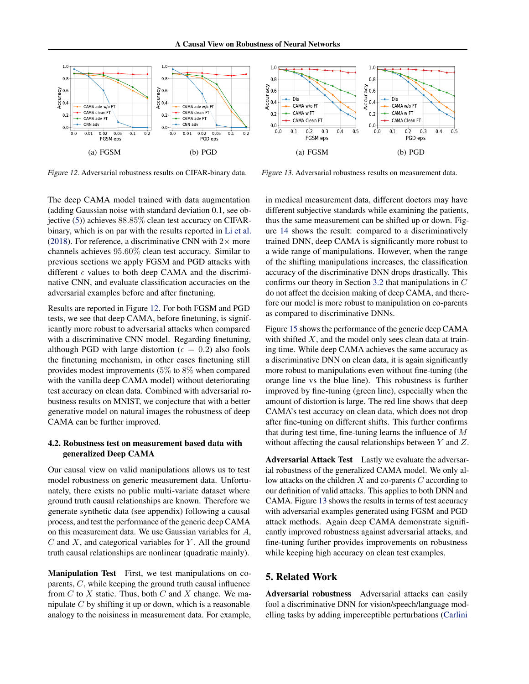

Figure 12. Adversarial robustness results on CIFAR-binary data.

Figure 13. Adversarial robustness results on measurement data.

The deep CAMA model trained with data augmentation (adding Gaussian noise with standard deviation 0.1, see objective [\(5\)](#page-2-0)) achieves 88.85% clean test accuracy on CIFARbinary, which is on par with the results reported in [Li et al.](#page-9-0) [\(2018\)](#page-9-0). For reference, a discriminative CNN with  $2\times$  more channels achieves 95.60% clean test accuracy. Similar to previous sections we apply FGSM and PGD attacks with different  $\epsilon$  values to both deep CAMA and the discriminative CNN, and evaluate classification accuracies on the adversarial examples before and after finetuning.

Results are reported in Figure 12. For both FGSM and PGD tests, we see that deep CAMA, before finetuning, is significantly more robust to adversarial attacks when compared with a discriminative CNN model. Regarding finetuning, although PGD with large distortion ( $\epsilon = 0.2$ ) also fools the finetuning mechanism, in other cases finetuning still provides modest improvements (5% to 8% when compared with the vanilla deep CAMA model) without deteriorating test accuracy on clean data. Combined with adversarial robustness results on MNIST, we conjecture that with a better generative model on natural images the robustness of deep CAMA can be further improved.

### 4.2. Robustness test on measurement based data with generalized Deep CAMA

Our causal view on valid manipulations allows us to test model robustness on generic measurement data. Unfortunately, there exists no public multi-variate dataset where ground truth causal relationships are known. Therefore we generate synthetic data (see appendix) following a causal process, and test the performance of the generic deep CAMA on this measurement data. We use Gaussian variables for A,  $C$  and  $X$ , and categorical variables for  $Y$ . All the ground truth causal relationships are nonlinear (quadratic mainly).

Manipulation Test First, we test manipulations on coparents, C, while keeping the ground truth causal influence from  $C$  to  $X$  static. Thus, both  $C$  and  $X$  change. We manipulate  $C$  by shifting it up or down, which is a reasonable [a](#page-8-0)nalogy to the noisiness in measurement data. For example, in medical measurement data, different doctors may have different subjective standards while examining the patients, thus the same measurement can be shifted up or down. Figure [14](#page-7-0) shows the result: compared to a discriminatively trained DNN, deep CAMA is significantly more robust to a wide range of manipulations. However, when the range of the shifting manipulations increases, the classification accuracy of the discriminative DNN drops drastically. This confirms our theory in Section [3.2](#page-3-0) that manipulations in C do not affect the decision making of deep CAMA, and therefore our model is more robust to manipulation on co-parents as compared to discriminative DNNs.

Figure [15](#page-7-0) shows the performance of the generic deep CAMA with shifted  $X$ , and the model only sees clean data at training time. While deep CAMA achieves the same accuracy as a discriminative DNN on clean data, it is again significantly more robust to manipulations even without fine-tuning (the orange line vs the blue line). This robustness is further improved by fine-tuning (green line), especially when the amount of distortion is large. The red line shows that deep CAMA's test accuracy on clean data, which does not drop after fine-tuning on different shifts. This further confirms that during test time, fine-tuning learns the influence of  $M$ without affecting the causal relationships between Y and Z.

Adversarial Attack Test Lastly we evaluate the adversarial robustness of the generalized CAMA model. We only allow attacks on the children  $X$  and co-parents  $C$  according to our definition of valid attacks. This applies to both DNN and CAMA. Figure 13 shows the results in terms of test accuracy with adversarial examples generated using FGSM and PGD attack methods. Again deep CAMA demonstrate significantly improved robustness against adversarial attacks, and fine-tuning further provides improvements on robustness while keeping high accuracy on clean test examples.

# 5. Related Work

Adversarial robustness Adversarial attacks can easily fool a discriminative DNN for vision/speech/language modelling tasks by adding imperceptible perturbations [\(Carlini](#page-8-0)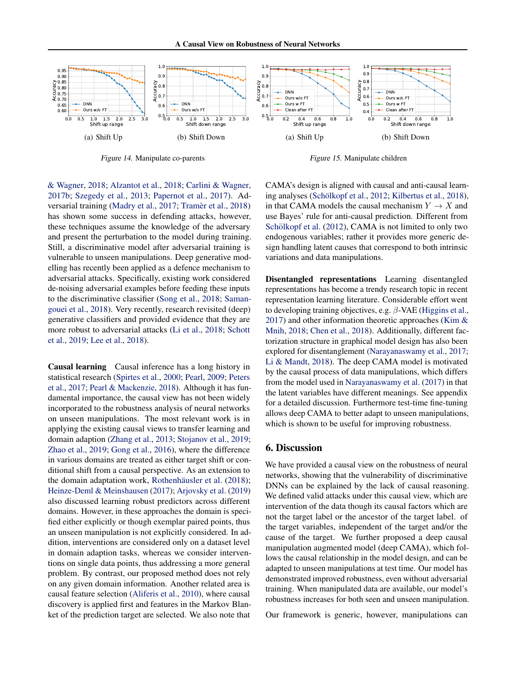[A Causal View on Robustness of Neural Networks](#page-8-0)

<span id="page-7-0"></span>

Figure 14. [Manipulate co-parents](#page-8-0)

Figure 15. [Manipulate children](#page-8-0)

[& Wagner,](#page-8-0) [2018;](#page-8-0) [Alzantot et al.,](#page-8-0) [2018;](#page-8-0) [Carlini & Wagner,](#page-8-0) [2017b;](#page-8-0) [Szegedy et al.,](#page-9-0) [2013;](#page-9-0) [Papernot et al.,](#page-9-0) [2017\)](#page-9-0). Ad-versarial training [\(Madry et al.,](#page-9-0) [2017;](#page-9-0) Tramèr et al., [2018\)](#page-9-0) has shown some success in defending attacks, however, these techniques assume the knowledge of the adversary and present the perturbation to the model during training. Still, a discriminative model after adversarial training is vulnerable to unseen manipulations. Deep generative modelling has recently been applied as a defence mechanism to adversarial attacks. Specifically, existing work considered de-noising adversarial examples before feeding these inputs to the discriminative classifier [\(Song et al.,](#page-9-0) [2018;](#page-9-0) [Saman](#page-9-0)[gouei et al.,](#page-9-0) [2018\)](#page-9-0). Very recently, research revisited (deep) generative classifiers and provided evidence that they are more robust to adversarial attacks [\(Li et al.,](#page-9-0) [2018;](#page-9-0) [Schott](#page-9-0) [et al.,](#page-9-0) [2019;](#page-9-0) [Lee et al.,](#page-8-0) [2018\)](#page-8-0).

Causal learning Causal inference has a long history in statistical research [\(Spirtes et al.,](#page-9-0) [2000;](#page-9-0) [Pearl,](#page-9-0) [2009;](#page-9-0) [Peters](#page-9-0) [et al.,](#page-9-0) [2017;](#page-9-0) [Pearl & Mackenzie,](#page-9-0) [2018\)](#page-9-0). Although it has fundamental importance, the causal view has not been widely incorporated to the robustness analysis of neural networks on unseen manipulations. The most relevant work is in applying the existing causal views to transfer learning and domain adaption [\(Zhang et al.,](#page-9-0) [2013;](#page-9-0) [Stojanov et al.,](#page-9-0) [2019;](#page-9-0) [Zhao et al.,](#page-9-0) [2019;](#page-9-0) [Gong et al.,](#page-8-0) [2016\)](#page-8-0), where the difference in various domains are treated as either target shift or conditional shift from a causal perspective. As an extension to the domain adaptation work, Rothenhäusler et al. [\(2018\)](#page-9-0); [Heinze-Deml & Meinshausen](#page-8-0) [\(2017\)](#page-8-0); [Arjovsky et al.](#page-8-0) [\(2019\)](#page-8-0) also discussed learning robust predictors across different domains. However, in these approaches the domain is specified either explicitly or though exemplar paired points, thus an unseen manipulation is not explicitly considered. In addition, interventions are considered only on a dataset level in domain adaption tasks, whereas we consider interventions on single data points, thus addressing a more general problem. By contrast, our proposed method does not rely on any given domain information. Another related area is causal feature selection [\(Aliferis et al.,](#page-8-0) [2010\)](#page-8-0), where causal discovery is applied first and features in the Markov Blanket of the prediction target are selected. We also note that

CAMA's design is aligned with causal and anti-causal learn-ing analyses (Schölkopf et al., [2012;](#page-9-0) [Kilbertus et al.,](#page-8-0) [2018\)](#page-8-0), in that CAMA models the causal mechanism  $Y \to X$  and use Bayes' rule for anti-causal prediction. Different from Schölkopf et al. [\(2012\)](#page-9-0), CAMA is not limited to only two endogenous variables; rather it provides more generic design handling latent causes that correspond to both intrinsic variations and data manipulations.

Disentangled representations Learning disentangled representations has become a trendy research topic in recent representation learning literature. Considerable effort went to developing training objectives, e.g.  $\beta$ -VAE [\(Higgins et al.,](#page-8-0) [2017\)](#page-8-0) and other information theoretic approaches [\(Kim &](#page-8-0) [Mnih,](#page-8-0) [2018;](#page-8-0) [Chen et al.,](#page-8-0) [2018\)](#page-8-0). Additionally, different factorization structure in graphical model design has also been explored for disentanglement [\(Narayanaswamy et al.,](#page-9-0) [2017;](#page-9-0) [Li & Mandt,](#page-9-0) [2018\)](#page-9-0). The deep CAMA model is motivated by the causal process of data manipulations, which differs from the model used in [Narayanaswamy et al.](#page-9-0) [\(2017\)](#page-9-0) in that the latent variables have different meanings. See appendix for a detailed discussion. Furthermore test-time fine-tuning allows deep CAMA to better adapt to unseen manipulations, which is shown to be useful for improving robustness.

# 6. Discussion

We have provided a causal view on the robustness of neural networks, showing that the vulnerability of discriminative DNNs can be explained by the lack of causal reasoning. We defined valid attacks under this causal view, which are intervention of the data though its causal factors which are not the target label or the ancestor of the target label. of the target variables, independent of the target and/or the cause of the target. We further proposed a deep causal manipulation augmented model (deep CAMA), which follows the causal relationship in the model design, and can be adapted to unseen manipulations at test time. Our model has demonstrated improved robustness, even without adversarial training. When manipulated data are available, our model's robustness increases for both seen and unseen manipulation.

Our framework is generic, however, manipulations can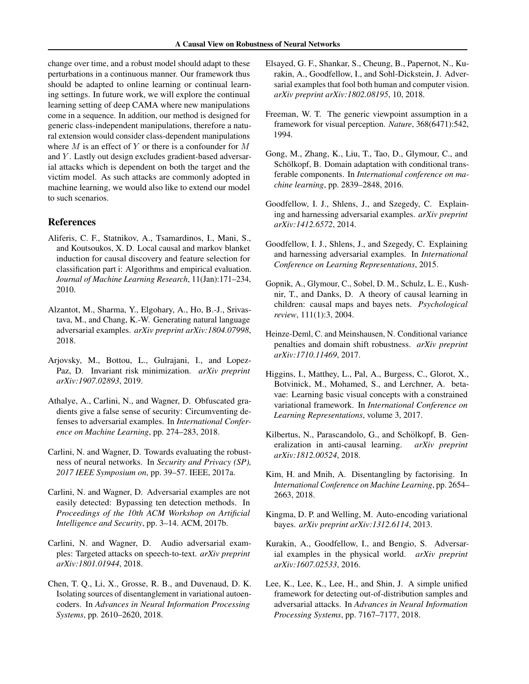<span id="page-8-0"></span>change over time, and a robust model should adapt to these perturbations in a continuous manner. Our framework thus should be adapted to online learning or continual learning settings. In future work, we will explore the continual learning setting of deep CAMA where new manipulations come in a sequence. In addition, our method is designed for generic class-independent manipulations, therefore a natural extension would consider class-dependent manipulations where  $M$  is an effect of  $Y$  or there is a confounder for  $M$ and Y. Lastly out design excludes gradient-based adversarial attacks which is dependent on both the target and the victim model. As such attacks are commonly adopted in machine learning, we would also like to extend our model to such scenarios.

### References

- Aliferis, C. F., Statnikov, A., Tsamardinos, I., Mani, S., and Koutsoukos, X. D. Local causal and markov blanket induction for causal discovery and feature selection for classification part i: Algorithms and empirical evaluation. *Journal of Machine Learning Research*, 11(Jan):171–234, 2010.
- Alzantot, M., Sharma, Y., Elgohary, A., Ho, B.-J., Srivastava, M., and Chang, K.-W. Generating natural language adversarial examples. *arXiv preprint arXiv:1804.07998*, 2018.
- Arjovsky, M., Bottou, L., Gulrajani, I., and Lopez-Paz, D. Invariant risk minimization. *arXiv preprint arXiv:1907.02893*, 2019.
- Athalye, A., Carlini, N., and Wagner, D. Obfuscated gradients give a false sense of security: Circumventing defenses to adversarial examples. In *International Conference on Machine Learning*, pp. 274–283, 2018.
- Carlini, N. and Wagner, D. Towards evaluating the robustness of neural networks. In *Security and Privacy (SP), 2017 IEEE Symposium on*, pp. 39–57. IEEE, 2017a.
- Carlini, N. and Wagner, D. Adversarial examples are not easily detected: Bypassing ten detection methods. In *Proceedings of the 10th ACM Workshop on Artificial Intelligence and Security*, pp. 3–14. ACM, 2017b.
- Carlini, N. and Wagner, D. Audio adversarial examples: Targeted attacks on speech-to-text. *arXiv preprint arXiv:1801.01944*, 2018.
- Chen, T. Q., Li, X., Grosse, R. B., and Duvenaud, D. K. Isolating sources of disentanglement in variational autoencoders. In *Advances in Neural Information Processing Systems*, pp. 2610–2620, 2018.
- Elsayed, G. F., Shankar, S., Cheung, B., Papernot, N., Kurakin, A., Goodfellow, I., and Sohl-Dickstein, J. Adversarial examples that fool both human and computer vision. *arXiv preprint arXiv:1802.08195*, 10, 2018.
- Freeman, W. T. The generic viewpoint assumption in a framework for visual perception. *Nature*, 368(6471):542, 1994.
- Gong, M., Zhang, K., Liu, T., Tao, D., Glymour, C., and Schölkopf, B. Domain adaptation with conditional transferable components. In *International conference on machine learning*, pp. 2839–2848, 2016.
- Goodfellow, I. J., Shlens, J., and Szegedy, C. Explaining and harnessing adversarial examples. *arXiv preprint arXiv:1412.6572*, 2014.
- Goodfellow, I. J., Shlens, J., and Szegedy, C. Explaining and harnessing adversarial examples. In *International Conference on Learning Representations*, 2015.
- Gopnik, A., Glymour, C., Sobel, D. M., Schulz, L. E., Kushnir, T., and Danks, D. A theory of causal learning in children: causal maps and bayes nets. *Psychological review*, 111(1):3, 2004.
- Heinze-Deml, C. and Meinshausen, N. Conditional variance penalties and domain shift robustness. *arXiv preprint arXiv:1710.11469*, 2017.
- Higgins, I., Matthey, L., Pal, A., Burgess, C., Glorot, X., Botvinick, M., Mohamed, S., and Lerchner, A. betavae: Learning basic visual concepts with a constrained variational framework. In *International Conference on Learning Representations*, volume 3, 2017.
- Kilbertus, N., Parascandolo, G., and Schölkopf, B. Generalization in anti-causal learning. *arXiv preprint arXiv:1812.00524*, 2018.
- Kim, H. and Mnih, A. Disentangling by factorising. In *International Conference on Machine Learning*, pp. 2654– 2663, 2018.
- Kingma, D. P. and Welling, M. Auto-encoding variational bayes. *arXiv preprint arXiv:1312.6114*, 2013.
- Kurakin, A., Goodfellow, I., and Bengio, S. Adversarial examples in the physical world. *arXiv preprint arXiv:1607.02533*, 2016.
- Lee, K., Lee, K., Lee, H., and Shin, J. A simple unified framework for detecting out-of-distribution samples and adversarial attacks. In *Advances in Neural Information Processing Systems*, pp. 7167–7177, 2018.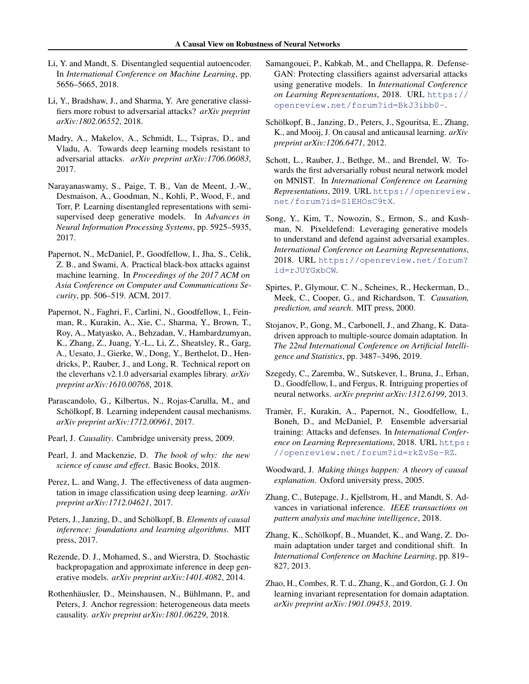- <span id="page-9-0"></span>Li, Y. and Mandt, S. Disentangled sequential autoencoder. In *International Conference on Machine Learning*, pp. 5656–5665, 2018.
- Li, Y., Bradshaw, J., and Sharma, Y. Are generative classifiers more robust to adversarial attacks? *arXiv preprint arXiv:1802.06552*, 2018.
- Madry, A., Makelov, A., Schmidt, L., Tsipras, D., and Vladu, A. Towards deep learning models resistant to adversarial attacks. *arXiv preprint arXiv:1706.06083*, 2017.
- Narayanaswamy, S., Paige, T. B., Van de Meent, J.-W., Desmaison, A., Goodman, N., Kohli, P., Wood, F., and Torr, P. Learning disentangled representations with semisupervised deep generative models. In *Advances in Neural Information Processing Systems*, pp. 5925–5935, 2017.
- Papernot, N., McDaniel, P., Goodfellow, I., Jha, S., Celik, Z. B., and Swami, A. Practical black-box attacks against machine learning. In *Proceedings of the 2017 ACM on Asia Conference on Computer and Communications Security*, pp. 506–519. ACM, 2017.
- Papernot, N., Faghri, F., Carlini, N., Goodfellow, I., Feinman, R., Kurakin, A., Xie, C., Sharma, Y., Brown, T., Roy, A., Matyasko, A., Behzadan, V., Hambardzumyan, K., Zhang, Z., Juang, Y.-L., Li, Z., Sheatsley, R., Garg, A., Uesato, J., Gierke, W., Dong, Y., Berthelot, D., Hendricks, P., Rauber, J., and Long, R. Technical report on the cleverhans v2.1.0 adversarial examples library. *arXiv preprint arXiv:1610.00768*, 2018.
- Parascandolo, G., Kilbertus, N., Rojas-Carulla, M., and Schölkopf, B. Learning independent causal mechanisms. *arXiv preprint arXiv:1712.00961*, 2017.
- Pearl, J. *Causality*. Cambridge university press, 2009.
- Pearl, J. and Mackenzie, D. *The book of why: the new science of cause and effect*. Basic Books, 2018.
- Perez, L. and Wang, J. The effectiveness of data augmentation in image classification using deep learning. *arXiv preprint arXiv:1712.04621*, 2017.
- Peters, J., Janzing, D., and Schölkopf, B. *Elements of causal inference: foundations and learning algorithms*. MIT press, 2017.
- Rezende, D. J., Mohamed, S., and Wierstra, D. Stochastic backpropagation and approximate inference in deep generative models. *arXiv preprint arXiv:1401.4082*, 2014.
- Rothenhäusler, D., Meinshausen, N., Bühlmann, P., and Peters, J. Anchor regression: heterogeneous data meets causality. *arXiv preprint arXiv:1801.06229*, 2018.
- Samangouei, P., Kabkab, M., and Chellappa, R. Defense-GAN: Protecting classifiers against adversarial attacks using generative models. In *International Conference on Learning Representations*, 2018. URL [https://](https://openreview.net/forum?id=BkJ3ibb0-) [openreview.net/forum?id=BkJ3ibb0-](https://openreview.net/forum?id=BkJ3ibb0-).
- Schölkopf, B., Janzing, D., Peters, J., Sgouritsa, E., Zhang, K., and Mooij, J. On causal and anticausal learning. *arXiv preprint arXiv:1206.6471*, 2012.
- Schott, L., Rauber, J., Bethge, M., and Brendel, W. Towards the first adversarially robust neural network model on MNIST. In *International Conference on Learning Representations*, 2019. URL [https://openreview.](https://openreview.net/forum?id=S1EHOsC9tX) [net/forum?id=S1EHOsC9tX](https://openreview.net/forum?id=S1EHOsC9tX).
- Song, Y., Kim, T., Nowozin, S., Ermon, S., and Kushman, N. Pixeldefend: Leveraging generative models to understand and defend against adversarial examples. *International Conference on Learning Representations*, 2018. URL [https://openreview.net/forum?](https://openreview.net/forum?id=rJUYGxbCW) [id=rJUYGxbCW](https://openreview.net/forum?id=rJUYGxbCW).
- Spirtes, P., Glymour, C. N., Scheines, R., Heckerman, D., Meek, C., Cooper, G., and Richardson, T. *Causation, prediction, and search*. MIT press, 2000.
- Stojanov, P., Gong, M., Carbonell, J., and Zhang, K. Datadriven approach to multiple-source domain adaptation. In *The 22nd International Conference on Artificial Intelligence and Statistics*, pp. 3487–3496, 2019.
- Szegedy, C., Zaremba, W., Sutskever, I., Bruna, J., Erhan, D., Goodfellow, I., and Fergus, R. Intriguing properties of neural networks. *arXiv preprint arXiv:1312.6199*, 2013.
- Tramer, F., Kurakin, A., Papernot, N., Goodfellow, I., ` Boneh, D., and McDaniel, P. Ensemble adversarial training: Attacks and defenses. In *International Conference on Learning Representations*, 2018. URL [https:](https://openreview.net/forum?id=rkZvSe-RZ) [//openreview.net/forum?id=rkZvSe-RZ](https://openreview.net/forum?id=rkZvSe-RZ).
- Woodward, J. *Making things happen: A theory of causal explanation*. Oxford university press, 2005.
- Zhang, C., Butepage, J., Kjellstrom, H., and Mandt, S. Advances in variational inference. *IEEE transactions on pattern analysis and machine intelligence*, 2018.
- Zhang, K., Schölkopf, B., Muandet, K., and Wang, Z. Domain adaptation under target and conditional shift. In *International Conference on Machine Learning*, pp. 819– 827, 2013.
- Zhao, H., Combes, R. T. d., Zhang, K., and Gordon, G. J. On learning invariant representation for domain adaptation. *arXiv preprint arXiv:1901.09453*, 2019.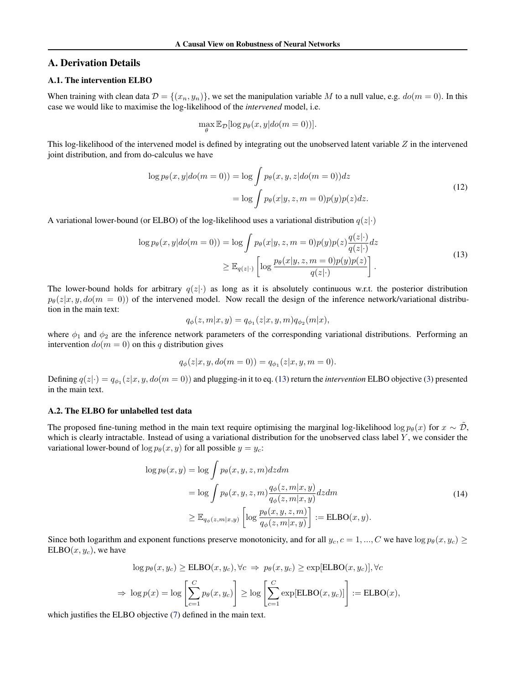## <span id="page-10-0"></span>A. Derivation Details

# A.1. The intervention ELBO

When training with clean data  $\mathcal{D} = \{(x_n, y_n)\}\)$ , we set the manipulation variable M to a null value, e.g.  $do(m = 0)$ . In this case we would like to maximise the log-likelihood of the *intervened* model, i.e.

$$
\max_{\theta} \mathbb{E}_{\mathcal{D}}[\log p_{\theta}(x, y | do(m=0))].
$$

This log-likelihood of the intervened model is defined by integrating out the unobserved latent variable  $Z$  in the intervened joint distribution, and from do-calculus we have

$$
\log p_{\theta}(x, y | do(m=0)) = \log \int p_{\theta}(x, y, z | do(m=0)) dz
$$

$$
= \log \int p_{\theta}(x | y, z, m=0) p(y) p(z) dz.
$$
(12)

A variational lower-bound (or ELBO) of the log-likelihood uses a variational distribution  $q(z|\cdot)$ 

$$
\log p_{\theta}(x, y | do(m=0)) = \log \int p_{\theta}(x | y, z, m=0) p(y) p(z) \frac{q(z | \cdot)}{q(z | \cdot)} dz
$$
  

$$
\geq \mathbb{E}_{q(z | \cdot)} \left[ \log \frac{p_{\theta}(x | y, z, m=0) p(y) p(z)}{q(z | \cdot)} \right].
$$
 (13)

The lower-bound holds for arbitrary  $q(z|\cdot)$  as long as it is absolutely continuous w.r.t. the posterior distribution  $p_{\theta}(z|x, y, do(m = 0))$  of the intervened model. Now recall the design of the inference network/variational distribution in the main text:

$$
q_{\phi}(z, m | x, y) = q_{\phi_1}(z | x, y, m) q_{\phi_2}(m | x),
$$

where  $\phi_1$  and  $\phi_2$  are the inference network parameters of the corresponding variational distributions. Performing an intervention  $do(m = 0)$  on this q distribution gives

$$
q_{\phi}(z|x, y, do(m = 0)) = q_{\phi_1}(z|x, y, m = 0).
$$

Defining  $q(z|\cdot) = q_{\phi_1}(z|x, y, do(m=0))$  and plugging-in it to eq. (13) return the *intervention* ELBO objective [\(3\)](#page-2-0) presented in the main text.

#### A.2. The ELBO for unlabelled test data

The proposed fine-tuning method in the main text require optimising the marginal log-likelihood log  $p_{\theta}(x)$  for  $x \sim \tilde{\mathcal{D}}$ , which is clearly intractable. Instead of using a variational distribution for the unobserved class label Y, we consider the variational lower-bound of  $\log p_{\theta}(x, y)$  for all possible  $y = y_c$ :

$$
\log p_{\theta}(x, y) = \log \int p_{\theta}(x, y, z, m) dz dm
$$
  
= 
$$
\log \int p_{\theta}(x, y, z, m) \frac{q_{\phi}(z, m|x, y)}{q_{\phi}(z, m|x, y)} dz dm
$$
  

$$
\geq \mathbb{E}_{q_{\phi}(z, m|x, y)} \left[ \log \frac{p_{\theta}(x, y, z, m)}{q_{\phi}(z, m|x, y)} \right] := \text{ELBO}(x, y). \tag{14}
$$

Since both logarithm and exponent functions preserve monotonicity, and for all  $y_c$ ,  $c = 1, ..., C$  we have  $\log p_\theta(x, y_c) \geq$  $ELBO(x, y_c)$ , we have

$$
\log p_{\theta}(x, y_c) \geq \text{ELBO}(x, y_c), \forall c \implies p_{\theta}(x, y_c) \geq \exp[\text{ELBO}(x, y_c)], \forall c
$$

$$
\implies \log p(x) = \log \left[ \sum_{c=1}^{C} p_{\theta}(x, y_c) \right] \geq \log \left[ \sum_{c=1}^{C} \exp[\text{ELBO}(x, y_c)] \right] := \text{ELBO}(x),
$$

which justifies the ELBO objective [\(7\)](#page-3-0) defined in the main text.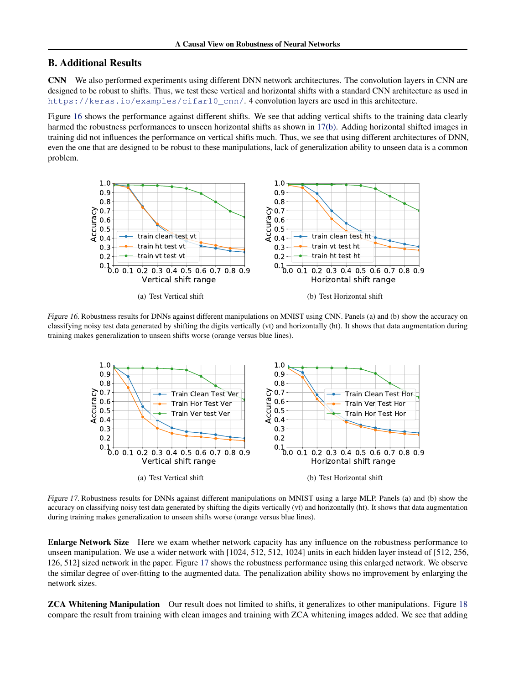# B. Additional Results

CNN We also performed experiments using different DNN network architectures. The convolution layers in CNN are designed to be robust to shifts. Thus, we test these vertical and horizontal shifts with a standard CNN architecture as used in [https://keras.io/examples/cifar10\\_cnn/](https://keras.io/examples/cifar10_cnn/). 4 convolution layers are used in this architecture.

Figure 16 shows the performance against different shifts. We see that adding vertical shifts to the training data clearly harmed the robustness performances to unseen horizontal shifts as shown in 17(b). Adding horizontal shifted images in training did not influences the performance on vertical shifts much. Thus, we see that using different architectures of DNN, even the one that are designed to be robust to these manipulations, lack of generalization ability to unseen data is a common problem.



Figure 16. Robustness results for DNNs against different manipulations on MNIST using CNN. Panels (a) and (b) show the accuracy on classifying noisy test data generated by shifting the digits vertically (vt) and horizontally (ht). It shows that data augmentation during training makes generalization to unseen shifts worse (orange versus blue lines).



Figure 17. Robustness results for DNNs against different manipulations on MNIST using a large MLP. Panels (a) and (b) show the accuracy on classifying noisy test data generated by shifting the digits vertically (vt) and horizontally (ht). It shows that data augmentation during training makes generalization to unseen shifts worse (orange versus blue lines).

Enlarge Network Size Here we exam whether network capacity has any influence on the robustness performance to unseen manipulation. We use a wider network with [1024, 512, 512, 1024] units in each hidden layer instead of [512, 256, 126, 512] sized network in the paper. Figure 17 shows the robustness performance using this enlarged network. We observe the similar degree of over-fitting to the augmented data. The penalization ability shows no improvement by enlarging the network sizes.

**ZCA Whitening Manipulation** Our result does not limited to shifts, it generalizes to other manipulations. Figure [18](#page-12-0) compare the result from training with clean images and training with ZCA whitening images added. We see that adding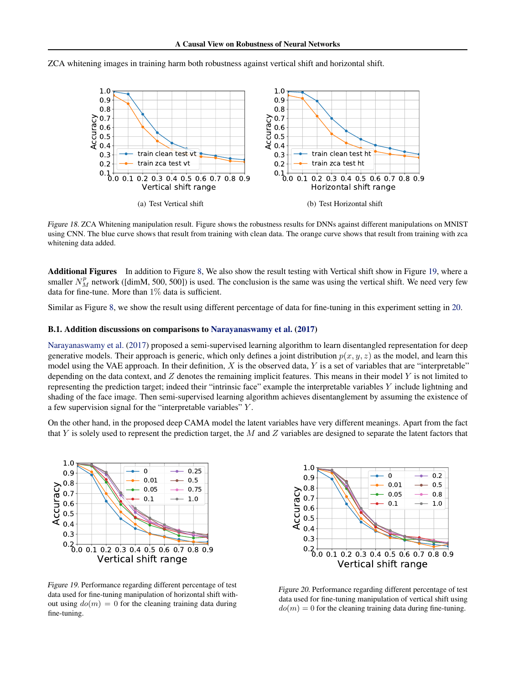<span id="page-12-0"></span>ZCA whitening images in training harm both robustness against vertical shift and horizontal shift.



Figure 18. ZCA Whitening manipulation result. Figure shows the robustness results for DNNs against different manipulations on MNIST using CNN. The blue curve shows that result from training with clean data. The orange curve shows that result from training with zca whitening data added.

Additional Figures In addition to Figure [8,](#page-5-0) We also show the result testing with Vertical shift show in Figure 19, where a smaller  $N_M^p$  network ([dimM, 500, 500]) is used. The conclusion is the same was using the vertical shift. We need very few data for fine-tune. More than  $1\%$  data is sufficient.

Similar as Figure [8,](#page-5-0) we show the result using different percentage of data for fine-tuning in this experiment setting in 20.

#### B.1. Addition discussions on comparisons to [Narayanaswamy et al.](#page-9-0) [\(2017\)](#page-9-0)

[Narayanaswamy et al.](#page-9-0) [\(2017\)](#page-9-0) proposed a semi-supervised learning algorithm to learn disentangled representation for deep generative models. Their approach is generic, which only defines a joint distribution  $p(x, y, z)$  as the model, and learn this model using the VAE approach. In their definition,  $X$  is the observed data,  $Y$  is a set of variables that are "interpretable" depending on the data context, and  $Z$  denotes the remaining implicit features. This means in their model  $Y$  is not limited to representing the prediction target; indeed their "intrinsic face" example the interpretable variables Y include lightning and shading of the face image. Then semi-supervised learning algorithm achieves disentanglement by assuming the existence of a few supervision signal for the "interpretable variables" Y .

On the other hand, in the proposed deep CAMA model the latent variables have very different meanings. Apart from the fact that Y is solely used to represent the prediction target, the M and Z variables are designed to separate the latent factors that



Figure 19. Performance regarding different percentage of test data used for fine-tuning manipulation of horizontal shift without using  $do(m) = 0$  for the cleaning training data during fine-tuning.



Figure 20. Performance regarding different percentage of test data used for fine-tuning manipulation of vertical shift using  $d\rho(m) = 0$  for the cleaning training data during fine-tuning.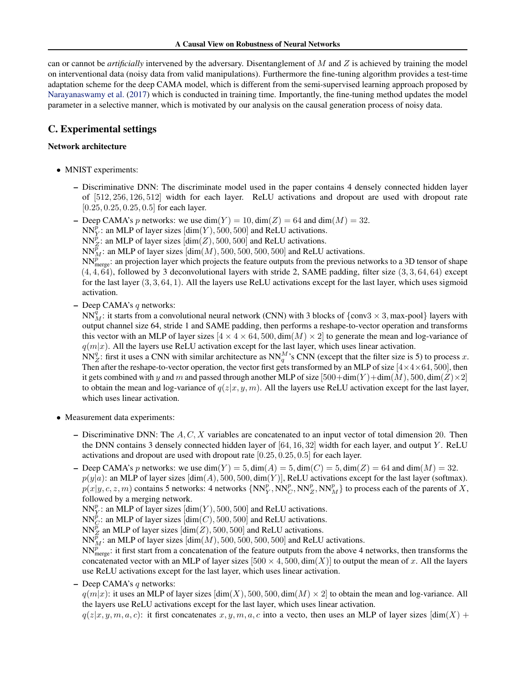can or cannot be *artificially* intervened by the adversary. Disentanglement of M and Z is achieved by training the model on interventional data (noisy data from valid manipulations). Furthermore the fine-tuning algorithm provides a test-time adaptation scheme for the deep CAMA model, which is different from the semi-supervised learning approach proposed by [Narayanaswamy et al.](#page-9-0) [\(2017\)](#page-9-0) which is conducted in training time. Importantly, the fine-tuning method updates the model parameter in a selective manner, which is motivated by our analysis on the causal generation process of noisy data.

# C. Experimental settings

# Network architecture

- MNIST experiments:
	- Discriminative DNN: The discriminate model used in the paper contains 4 densely connected hidden layer of [512, 256, 126, 512] width for each layer. ReLU activations and dropout are used with dropout rate [0.25, 0.25, 0.25, 0.5] for each layer.
	- Deep CAMA's p networks: we use  $\dim(Y) = 10$ ,  $\dim(Z) = 64$  and  $\dim(M) = 32$ .
		- $NN_Y^{\hat{p}}$ : an MLP of layer sizes  $[\dim(Y), 500, 500]$  and ReLU activations.
		- $NN_Z^{\hat{p}}$ : an MLP of layer sizes  $[\dim(Z), 500, 500]$  and ReLU activations.
		- NN $_{M}^{\bar{p}}$ : an MLP of layer sizes  $[\dim(M), 500, 500, 500, 500]$  and ReLU activations.

 $NN_{\text{merge}}^p$ : an projection layer which projects the feature outputs from the previous networks to a 3D tensor of shape  $(4, 4, 64)$ , followed by 3 deconvolutional layers with stride 2, SAME padding, filter size  $(3, 3, 64, 64)$  except for the last layer  $(3, 3, 64, 1)$ . All the layers use ReLU activations except for the last layer, which uses sigmoid activation.

 $-$  Deep CAMA's q networks:

NN $_{M}^{\hat{q}}$ : it starts from a convolutional neural network (CNN) with 3 blocks of {conv3  $\times$  3, max-pool} layers with output channel size 64, stride 1 and SAME padding, then performs a reshape-to-vector operation and transforms this vector with an MLP of layer sizes  $[4 \times 4 \times 64, 500, \dim(M) \times 2]$  to generate the mean and log-variance of  $q(m|x)$ . All the layers use ReLU activation except for the last layer, which uses linear activation.

NN $_q^q$ : first it uses a CNN with similar architecture as NN $_q^M$ 's CNN (except that the filter size is 5) to process x. Then after the reshape-to-vector operation, the vector first gets transformed by an MLP of size  $[4 \times 4 \times 64, 500]$ , then it gets combined with y and m and passed through another MLP of size  $[500+\dim(Y)+\dim(M), 500, \dim(Z)\times 2]$ to obtain the mean and log-variance of  $q(z|x, y, m)$ . All the layers use ReLU activation except for the last layer, which uses linear activation.

- Measurement data experiments:
	- Discriminative DNN: The  $A, C, X$  variables are concatenated to an input vector of total dimension 20. Then the DNN contains 3 densely connected hidden layer of  $[64, 16, 32]$  width for each layer, and output Y. ReLU activations and dropout are used with dropout rate [0.25, 0.25, 0.5] for each layer.
	- Deep CAMA's p networks: we use  $\dim(Y) = 5$ ,  $\dim(A) = 5$ ,  $\dim(C) = 5$ ,  $\dim(Z) = 64$  and  $\dim(M) = 32$ .  $p(y|a)$ : an MLP of layer sizes  $[\dim(A), 500, 500, \dim(Y)]$ , ReLU activations except for the last layer (softmax).  $p(x|y, c, z, m)$  contains 5 networks: 4 networks  $\{NN_Y^p, NN_C^p, NN_Z^p, NN_M^p\}$  to process each of the parents of X, followed by a merging network.

 $NN_Y^p$ : an MLP of layer sizes  $[dim(Y), 500, 500]$  and ReLU activations.

 $NN_C^{\hat{p}}$ : an MLP of layer sizes  $[\dim(C), 500, 500]$  and ReLU activations.

 $NN_Z^{\overline{p}}$  an MLP of layer sizes  $[\dim(Z), 500, 500]$  and ReLU activations.

NN $_{M}^{\tilde{p}}$ : an MLP of layer sizes  $[\dim(M), 500, 500, 500, 500]$  and ReLU activations.

 $NN_{\text{merge}}^{\tilde{p}}$ : it first start from a concatenation of the feature outputs from the above 4 networks, then transforms the concatenated vector with an MLP of layer sizes [500  $\times$  4, 500, dim(X)] to output the mean of x. All the layers use ReLU activations except for the last layer, which uses linear activation.

 $-$  Deep CAMA's q networks:

 $q(m|x)$ : it uses an MLP of layer sizes  $\left[\dim(X), 500, 500, \dim(M) \times 2\right]$  to obtain the mean and log-variance. All the layers use ReLU activations except for the last layer, which uses linear activation.

 $q(z|x, y, m, a, c)$ : it first concatenates  $x, y, m, a, c$  into a vecto, then uses an MLP of layer sizes  $\left[\dim(X) + \right]$